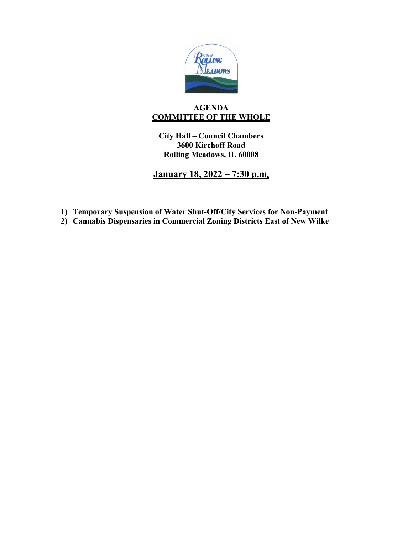

# **AGENDA COMMITTEE OF THE WHOLE**

**City Hall – Council Chambers 3600 Kirchoff Road Rolling Meadows, IL 60008**

**January 18, 2022 – 7:30 p.m.**

- **1) Temporary Suspension of Water Shut-Off/City Services for Non-Payment**
- **2) Cannabis Dispensaries in Commercial Zoning Districts East of New Wilke**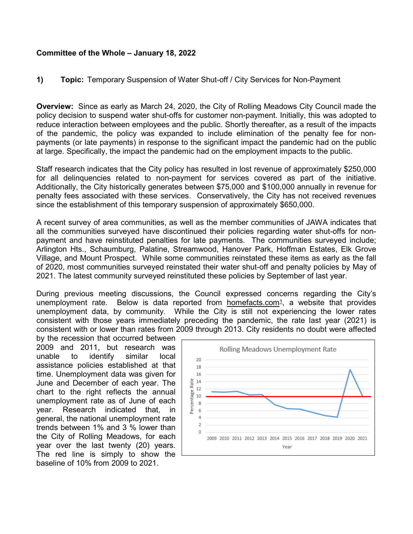## **Committee of the Whole – January 18, 2022**

## **1) Topic:** Temporary Suspension of Water Shut-off / City Services for Non-Payment

**Overview:** Since as early as March 24, 2020, the City of Rolling Meadows City Council made the policy decision to suspend water shut-offs for customer non-payment. Initially, this was adopted to reduce interaction between employees and the public. Shortly thereafter, as a result of the impacts of the pandemic, the policy was expanded to include elimination of the penalty fee for nonpayments (or late payments) in response to the significant impact the pandemic had on the public at large. Specifically, the impact the pandemic had on the employment impacts to the public.

Staff research indicates that the City policy has resulted in lost revenue of approximately \$250,000 for all delinquencies related to non-payment for services covered as part of the initiative. Additionally, the City historically generates between \$75,000 and \$100,000 annually in revenue for penalty fees associated with these services. Conservatively, the City has not received revenues since the establishment of this temporary suspension of approximately \$650,000.

A recent survey of area communities, as well as the member communities of JAWA indicates that all the communities surveyed have discontinued their policies regarding water shut-offs for nonpayment and have reinstituted penalties for late payments. The communities surveyed include; Arlington Hts., Schaumburg, Palatine, Streamwood, Hanover Park, Hoffman Estates, Elk Grove Village, and Mount Prospect. While some communities reinstated these items as early as the fall of 2020, most communities surveyed reinstated their water shut-off and penalty policies by May of 2021. The latest community surveyed reinstituted these policies by September of last year.

During previous meeting discussions, the Council expressed concerns regarding the City's unemployment rate. Below is data reported from homefacts.com $\frac{1}{1}$ , a website that provides unemployment data, by community. While the City is still not experiencing the lower rates consistent with those years immediately preceding the pandemic, the rate last year (2021) is consistent with or lower than rates from 2009 through 2013. City residents no doubt were affected

by the recession that occurred between 2009 and 2011, but research was unable to identify similar local assistance policies established at that time. Unemployment data was given for June and December of each year. The chart to the right reflects the annual unemployment rate as of June of each year. Research indicated that, in general, the national unemployment rate trends between 1% and 3 % lower than the City of Rolling Meadows, for each year over the last twenty (20) years. The red line is simply to show the baseline of 10% from 2009 to 2021.

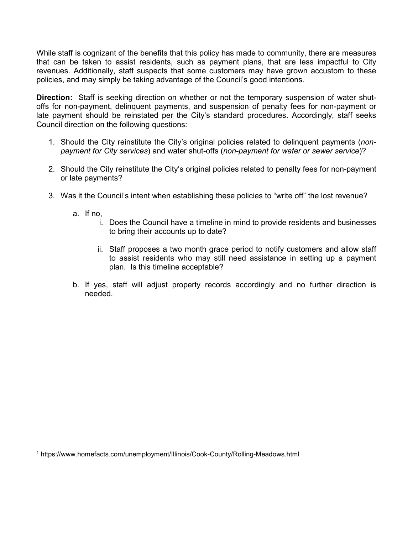While staff is cognizant of the benefits that this policy has made to community, there are measures that can be taken to assist residents, such as payment plans, that are less impactful to City revenues. Additionally, staff suspects that some customers may have grown accustom to these policies, and may simply be taking advantage of the Council's good intentions.

**Direction:** Staff is seeking direction on whether or not the temporary suspension of water shutoffs for non-payment, delinquent payments, and suspension of penalty fees for non-payment or late payment should be reinstated per the City's standard procedures. Accordingly, staff seeks Council direction on the following questions:

- 1. Should the City reinstitute the City's original policies related to delinquent payments (*nonpayment for City services*) and water shut-offs (*non-payment for water or sewer service*)?
- 2. Should the City reinstitute the City's original policies related to penalty fees for non-payment or late payments?
- 3. Was it the Council's intent when establishing these policies to "write off" the lost revenue?
	- a. If no,
		- i. Does the Council have a timeline in mind to provide residents and businesses to bring their accounts up to date?
		- ii. Staff proposes a two month grace period to notify customers and allow staff to assist residents who may still need assistance in setting up a payment plan. Is this timeline acceptable?
	- b. If yes, staff will adjust property records accordingly and no further direction is needed.

<sup>1</sup> https://www.homefacts.com/unemployment/Illinois/Cook-County/Rolling-Meadows.html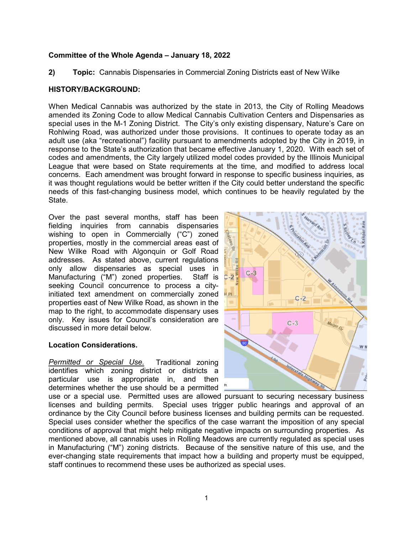### **Committee of the Whole Agenda – January 18, 2022**

**2) Topic:** Cannabis Dispensaries in Commercial Zoning Districts east of New Wilke

### **HISTORY/BACKGROUND:**

When Medical Cannabis was authorized by the state in 2013, the City of Rolling Meadows amended its Zoning Code to allow Medical Cannabis Cultivation Centers and Dispensaries as special uses in the M-1 Zoning District. The City's only existing dispensary, Nature's Care on Rohlwing Road, was authorized under those provisions. It continues to operate today as an adult use (aka "recreational") facility pursuant to amendments adopted by the City in 2019, in response to the State's authorization that became effective January 1, 2020. With each set of codes and amendments, the City largely utilized model codes provided by the Illinois Municipal League that were based on State requirements at the time, and modified to address local concerns. Each amendment was brought forward in response to specific business inquiries, as it was thought regulations would be better written if the City could better understand the specific needs of this fast-changing business model, which continues to be heavily regulated by the State.

Over the past several months, staff has been fielding inquiries from cannabis dispensaries wishing to open in Commercially ("C") zoned properties, mostly in the commercial areas east of New Wilke Road with Algonquin or Golf Road addresses. As stated above, current regulations only allow dispensaries as special uses in Manufacturing ("M") zoned properties. Staff is seeking Council concurrence to process a cityinitiated text amendment on commercially zoned properties east of New Wilke Road, as shown in the map to the right, to accommodate dispensary uses only. Key issues for Council's consideration are discussed in more detail below.

#### **Location Considerations.**

*Permitted or Special Use.* Traditional zoning identifies which zoning district or districts a particular use is appropriate in, and then determines whether the use should be a permitted



use or a special use. Permitted uses are allowed pursuant to securing necessary business licenses and building permits. Special uses trigger public hearings and approval of an ordinance by the City Council before business licenses and building permits can be requested. Special uses consider whether the specifics of the case warrant the imposition of any special conditions of approval that might help mitigate negative impacts on surrounding properties. As mentioned above, all cannabis uses in Rolling Meadows are currently regulated as special uses in Manufacturing ("M") zoning districts. Because of the sensitive nature of this use, and the ever-changing state requirements that impact how a building and property must be equipped, staff continues to recommend these uses be authorized as special uses.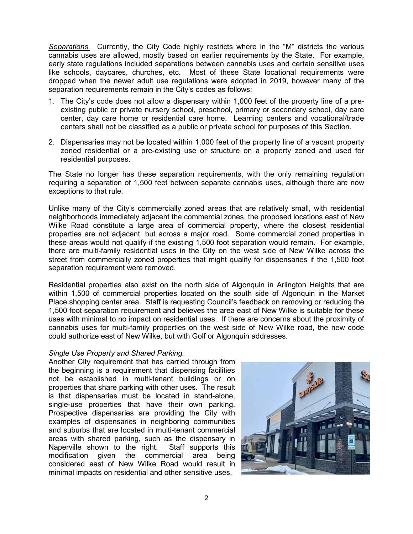*Separations.* Currently, the City Code highly restricts where in the "M" districts the various cannabis uses are allowed, mostly based on earlier requirements by the State. For example, early state regulations included separations between cannabis uses and certain sensitive uses like schools, daycares, churches, etc. Most of these State locational requirements were dropped when the newer adult use regulations were adopted in 2019, however many of the separation requirements remain in the City's codes as follows:

- 1. The City's code does not allow a dispensary within 1,000 feet of the property line of a preexisting public or private nursery school, preschool, primary or secondary school, day care center, day care home or residential care home. Learning centers and vocational/trade centers shall not be classified as a public or private school for purposes of this Section.
- 2. Dispensaries may not be located within 1,000 feet of the property line of a vacant property zoned residential or a pre-existing use or structure on a property zoned and used for residential purposes.

The State no longer has these separation requirements, with the only remaining regulation requiring a separation of 1,500 feet between separate cannabis uses, although there are now exceptions to that rule.

Unlike many of the City's commercially zoned areas that are relatively small, with residential neighborhoods immediately adjacent the commercial zones, the proposed locations east of New Wilke Road constitute a large area of commercial property, where the closest residential properties are not adjacent, but across a major road. Some commercial zoned properties in these areas would not qualify if the existing 1,500 foot separation would remain. For example, there are multi-family residential uses in the City on the west side of New Wilke across the street from commercially zoned properties that might qualify for dispensaries if the 1,500 foot separation requirement were removed.

Residential properties also exist on the north side of Algonquin in Arlington Heights that are within 1,500 of commercial properties located on the south side of Algonquin in the Market Place shopping center area. Staff is requesting Council's feedback on removing or reducing the 1,500 foot separation requirement and believes the area east of New Wilke is suitable for these uses with minimal to no impact on residential uses. If there are concerns about the proximity of cannabis uses for multi-family properties on the west side of New Wilke road, the new code could authorize east of New Wilke, but with Golf or Algonquin addresses.

# *Single Use Property and Shared Parking.*

Another City requirement that has carried through from the beginning is a requirement that dispensing facilities not be established in multi-tenant buildings or on properties that share parking with other uses. The result is that dispensaries must be located in stand-alone, single-use properties that have their own parking. Prospective dispensaries are providing the City with examples of dispensaries in neighboring communities and suburbs that are located in multi-tenant commercial areas with shared parking, such as the dispensary in Naperville shown to the right. Staff supports this modification given the commercial area being considered east of New Wilke Road would result in minimal impacts on residential and other sensitive uses.